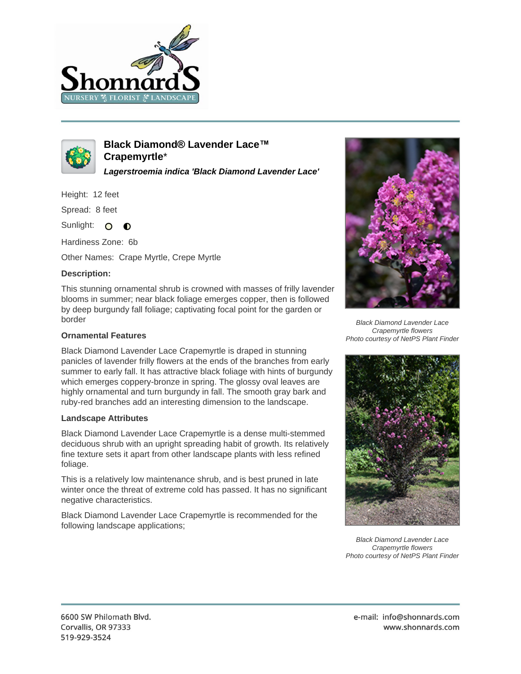



**Black Diamond® Lavender Lace™ Crapemyrtle**\*

**Lagerstroemia indica 'Black Diamond Lavender Lace'**

Height: 12 feet

Spread: 8 feet

Sunlight: O  $\bullet$ 

Hardiness Zone: 6b

Other Names: Crape Myrtle, Crepe Myrtle

## **Description:**

This stunning ornamental shrub is crowned with masses of frilly lavender blooms in summer; near black foliage emerges copper, then is followed by deep burgundy fall foliage; captivating focal point for the garden or border

## **Ornamental Features**

Black Diamond Lavender Lace Crapemyrtle is draped in stunning panicles of lavender frilly flowers at the ends of the branches from early summer to early fall. It has attractive black foliage with hints of burgundy which emerges coppery-bronze in spring. The glossy oval leaves are highly ornamental and turn burgundy in fall. The smooth gray bark and ruby-red branches add an interesting dimension to the landscape.

## **Landscape Attributes**

Black Diamond Lavender Lace Crapemyrtle is a dense multi-stemmed deciduous shrub with an upright spreading habit of growth. Its relatively fine texture sets it apart from other landscape plants with less refined foliage.

This is a relatively low maintenance shrub, and is best pruned in late winter once the threat of extreme cold has passed. It has no significant negative characteristics.

Black Diamond Lavender Lace Crapemyrtle is recommended for the following landscape applications;



Black Diamond Lavender Lace Crapemyrtle flowers Photo courtesy of NetPS Plant Finder



Black Diamond Lavender Lace Crapemyrtle flowers Photo courtesy of NetPS Plant Finder